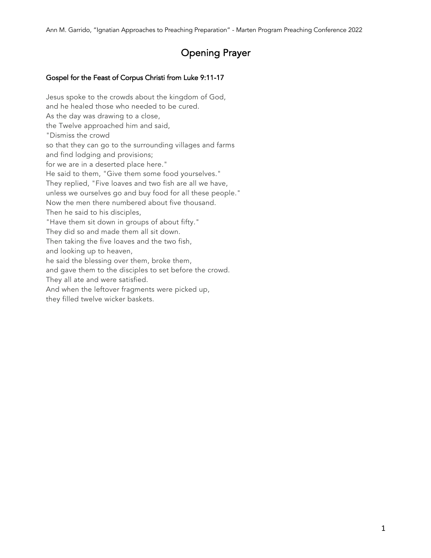# Opening Prayer

## Gospel for the Feast of Corpus Christi from Luke 9:11-17

Jesus spoke to the crowds about the kingdom of God, and he healed those who needed to be cured. As the day was drawing to a close, the Twelve approached him and said, "Dismiss the crowd so that they can go to the surrounding villages and farms and find lodging and provisions; for we are in a deserted place here." He said to them, "Give them some food yourselves." They replied, "Five loaves and two fish are all we have, unless we ourselves go and buy food for all these people." Now the men there numbered about five thousand. Then he said to his disciples, "Have them sit down in groups of about fifty." They did so and made them all sit down. Then taking the five loaves and the two fish, and looking up to heaven, he said the blessing over them, broke them, and gave them to the disciples to set before the crowd. They all ate and were satisfied. And when the leftover fragments were picked up, they filled twelve wicker baskets.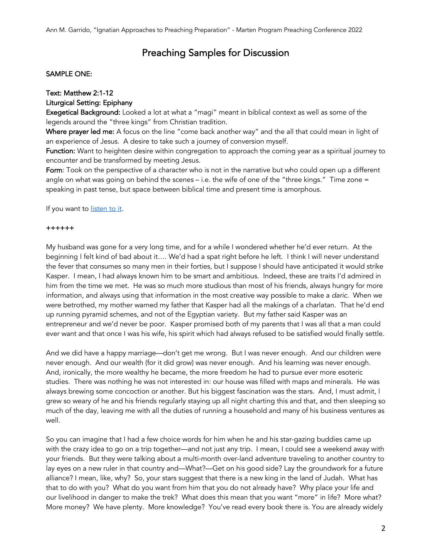## Preaching Samples for Discussion

#### SAMPLE ONE:

## Text: Matthew 2:1-12

#### Liturgical Setting: Epiphany

Exegetical Background: Looked a lot at what a "magi" meant in biblical context as well as some of the legends around the "three kings" from Christian tradition.

Where prayer led me: A focus on the line "come back another way" and the all that could mean in light of an experience of Jesus. A desire to take such a journey of conversion myself.

Function: Want to heighten desire within congregation to approach the coming year as a spiritual journey to encounter and be transformed by meeting Jesus.

Form: Took on the perspective of a character who is not in the narrative but who could open up a different angle on what was going on behind the scenes – i.e. the wife of one of the "three kings." Time zone = speaking in past tense, but space between biblical time and present time is amorphous.

If you want to listen to it.

#### ++++++

My husband was gone for a very long time, and for a while I wondered whether he'd ever return. At the beginning I felt kind of bad about it…. We'd had a spat right before he left. I think I will never understand the fever that consumes so many men in their forties, but I suppose I should have anticipated it would strike Kasper. I mean, I had always known him to be smart and ambitious. Indeed, these are traits I'd admired in him from the time we met. He was so much more studious than most of his friends, always hungry for more information, and always using that information in the most creative way possible to make a *daric*. When we were betrothed, my mother warned my father that Kasper had all the makings of a charlatan. That he'd end up running pyramid schemes, and not of the Egyptian variety. But my father said Kasper was an entrepreneur and we'd never be poor. Kasper promised both of my parents that I was all that a man could ever want and that once I was his wife, his spirit which had always refused to be satisfied would finally settle.

And we did have a happy marriage—don't get me wrong. But I was never enough. And our children were never enough. And our wealth (for it did grow) was never enough. And his learning was never enough. And, ironically, the more wealthy he became, the more freedom he had to pursue ever more esoteric studies. There was nothing he was not interested in: our house was filled with maps and minerals. He was always brewing some concoction or another. But his biggest fascination was the stars. And, I must admit, I grew so weary of he and his friends regularly staying up all night charting this and that, and then sleeping so much of the day, leaving me with all the duties of running a household and many of his business ventures as well.

So you can imagine that I had a few choice words for him when he and his star-gazing buddies came up with the crazy idea to go on a trip together—and not just any trip. I mean, I could see a weekend away with your friends. But they were talking about a multi-month over-land adventure traveling to another country to lay eyes on a new ruler in that country and—What?—Get on his good side? Lay the groundwork for a future alliance? I mean, like, why? So, your stars suggest that there is a new king in the land of Judah. What has that to do with you? What do you want from him that you do not already have? Why place your life and our livelihood in danger to make the trek? What does this mean that you want "more" in life? More what? More money? We have plenty. More knowledge? You've read every book there is. You are already widely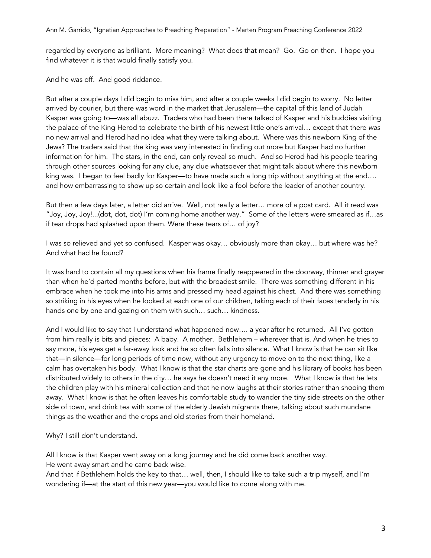regarded by everyone as brilliant. More meaning? What does that mean? Go. Go on then. I hope you find whatever it is that would finally satisfy you.

And he was off. And good riddance.

But after a couple days I did begin to miss him, and after a couple weeks I did begin to worry. No letter arrived by courier, but there was word in the market that Jerusalem—the capital of this land of Judah Kasper was going to—was all abuzz. Traders who had been there talked of Kasper and his buddies visiting the palace of the King Herod to celebrate the birth of his newest little one's arrival… except that there *was* no new arrival and Herod had no idea what they were talking about. Where was this newborn King of the Jews? The traders said that the king was very interested in finding out more but Kasper had no further information for him. The stars, in the end, can only reveal so much. And so Herod had his people tearing through other sources looking for any clue, any clue whatsoever that might talk about where this newborn king was. I began to feel badly for Kasper—to have made such a long trip without anything at the end.... and how embarrassing to show up so certain and look like a fool before the leader of another country.

But then a few days later, a letter did arrive. Well, not really a letter… more of a post card. All it read was "Joy, Joy, Joy!...(dot, dot, dot) I'm coming home another way." Some of the letters were smeared as if…as if tear drops had splashed upon them. Were these tears of… of joy?

I was so relieved and yet so confused. Kasper was okay… obviously more than okay… but where was he? And what had he found?

It was hard to contain all my questions when his frame finally reappeared in the doorway, thinner and grayer than when he'd parted months before, but with the broadest smile. There was something different in his embrace when he took me into his arms and pressed my head against his chest. And there was something so striking in his eyes when he looked at each one of our children, taking each of their faces tenderly in his hands one by one and gazing on them with such… such… kindness.

And I would like to say that I understand what happened now…. a year after he returned. All I've gotten from him really is bits and pieces: A baby. A mother. Bethlehem – wherever that is. And when he tries to say more, his eyes get a far-away look and he so often falls into silence. What I know is that he can sit like that—in silence—for long periods of time now, without any urgency to move on to the next thing, like a calm has overtaken his body. What I know is that the star charts are gone and his library of books has been distributed widely to others in the city… he says he doesn't need it any more. What I know is that he lets the children play with his mineral collection and that he now laughs at their stories rather than shooing them away. What I know is that he often leaves his comfortable study to wander the tiny side streets on the other side of town, and drink tea with some of the elderly Jewish migrants there, talking about such mundane things as the weather and the crops and old stories from their homeland.

Why? I still don't understand.

All I know is that Kasper went away on a long journey and he did come back another way.

He went away smart and he came back wise.

And that if Bethlehem holds the key to that… well, then, I should like to take such a trip myself, and I'm wondering if—at the start of this new year—you would like to come along with me.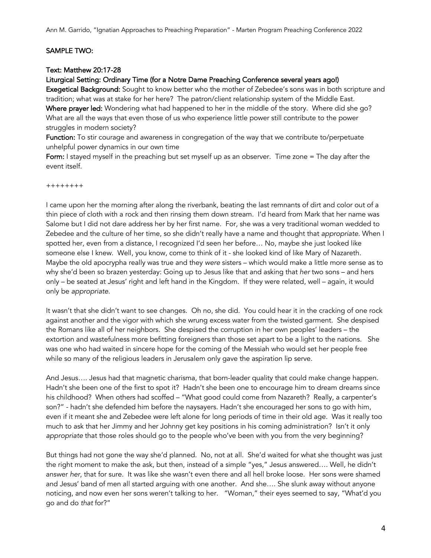#### SAMPLE TWO:

#### Text: Matthew 20:17-28

#### Liturgical Setting: Ordinary Time (for a Notre Dame Preaching Conference several years ago!)

Exegetical Background: Sought to know better who the mother of Zebedee's sons was in both scripture and tradition; what was at stake for her here? The patron/client relationship system of the Middle East. Where prayer led: Wondering what had happened to her in the middle of the story. Where did she go?

What are all the ways that even those of us who experience little power still contribute to the power struggles in modern society?

Function: To stir courage and awareness in congregation of the way that we contribute to/perpetuate unhelpful power dynamics in our own time

Form: I stayed myself in the preaching but set myself up as an observer. Time zone = The day after the event itself.

++++++++

I came upon her the morning after along the riverbank, beating the last remnants of dirt and color out of a thin piece of cloth with a rock and then rinsing them down stream. I'd heard from Mark that her name was Salome but I did not dare address her by her first name. For, she was a very traditional woman wedded to Zebedee and the culture of her time, so she didn't really have a name and thought that *appropriate*. When I spotted her, even from a distance, I recognized I'd seen her before… No, maybe she just looked like someone else I knew. Well, you know, come to think of it - she looked kind of like Mary of Nazareth. Maybe the old apocrypha really was true and they *were* sisters – which would make a little more sense as to why she'd been so brazen yesterday: Going up to Jesus like that and asking that *her* two sons – and hers only – be seated at Jesus' right and left hand in the Kingdom. If they were related, well – again, it would only be *appropriate*.

It wasn't that she didn't want to see changes. Oh no, she did. You could hear it in the cracking of one rock against another and the vigor with which she wrung excess water from the twisted garment. She despised the Romans like all of her neighbors. She despised the corruption in her own peoples' leaders – the extortion and wastefulness more befitting foreigners than those set apart to be a light to the nations. She was one who had waited in sincere hope for the coming of the Messiah who would set her people free while so many of the religious leaders in Jerusalem only gave the aspiration lip serve.

And Jesus…. Jesus had that magnetic charisma, that born-leader quality that could make change happen. Hadn't she been one of the first to spot it? Hadn't she been one to encourage him to dream dreams since his childhood? When others had scoffed – "What good could come from Nazareth? Really, a carpenter's son?" - hadn't she defended him before the naysayers. Hadn't she encouraged her sons to go with him, even if it meant she and Zebedee were left alone for long periods of time in their old age. Was it really too much to ask that her Jimmy and her Johnny get key positions in his coming administration? Isn't it only *appropriate* that those roles should go to the people who've been with you from the very beginning?

But things had not gone the way she'd planned. No, not at all. She'd waited for what she thought was just the right moment to make the ask, but then, instead of a simple "yes," Jesus answered…. Well, he didn't answer *her*, that for sure. It was like she wasn't even there and all hell broke loose. Her sons were shamed and Jesus' band of men all started arguing with one another. And she…. She slunk away without anyone noticing, and now even her sons weren't talking to her. "Woman," their eyes seemed to say, "What'd you go and do *that* for?"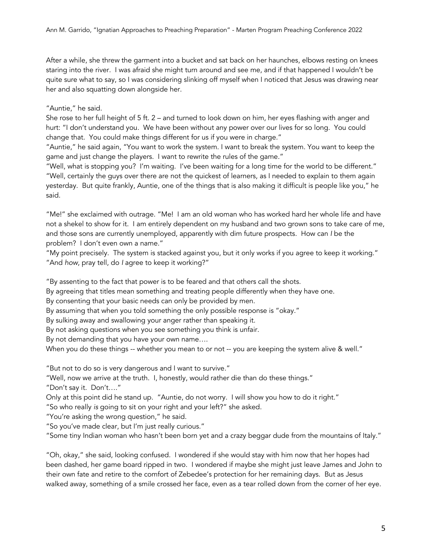After a while, she threw the garment into a bucket and sat back on her haunches, elbows resting on knees staring into the river. I was afraid she might turn around and see me, and if that happened I wouldn't be quite sure what to say, so I was considering slinking off myself when I noticed that Jesus was drawing near her and also squatting down alongside her.

"Auntie," he said.

She rose to her full height of 5 ft. 2 – and turned to look down on him, her eyes flashing with anger and hurt: "I don't understand you. We have been without any power over our lives for so long. You could change that. You could make things different for us if you were in charge."

"Auntie," he said again, "You want to work the system. I want to break the system. You want to keep the game and just change the players. I want to rewrite the rules of the game."

"Well, what is stopping you? I'm waiting. I've been waiting for a long time for the world to be different." "Well, certainly the guys over there are not the quickest of learners, as I needed to explain to them again yesterday. But quite frankly, Auntie, one of the things that is also making it difficult is people like you," he said.

"Me!" she exclaimed with outrage. "Me! I am an old woman who has worked hard her whole life and have not a shekel to show for it. I am entirely dependent on my husband and two grown sons to take care of me, and those sons are currently unemployed, apparently with dim future prospects. How can *I* be the problem? I don't even own a name."

"My point precisely. The system is stacked against you, but it only works if you agree to keep it working." "And *how*, pray tell, do *I* agree to keep it working?"

"By assenting to the fact that power is to be feared and that others call the shots.

By agreeing that titles mean something and treating people differently when they have one.

By consenting that your basic needs can only be provided by men.

By assuming that when you told something the only possible response is "okay."

By sulking away and swallowing your anger rather than speaking it.

By not asking questions when you see something you think is unfair.

By not demanding that you have your own name….

When you do these things -- whether you mean to or not -- you are keeping the system alive & well."

"But not to do so is very dangerous and I want to survive."

"Well, now we arrive at the truth. I, honestly, would rather die than do these things."

"Don't say it. Don't…."

Only at this point did he stand up. "Auntie, do not worry. I will show you how to do it right."

"So who really *is* going to sit on your right and your left?" she asked.

"You're asking the wrong question," he said.

"So you've made clear, but I'm just really curious."

"Some tiny Indian woman who hasn't been born yet and a crazy beggar dude from the mountains of Italy."

"Oh, okay," she said, looking confused. I wondered if she would stay with him now that her hopes had been dashed, her game board ripped in two. I wondered if maybe she might just leave James and John to their own fate and retire to the comfort of Zebedee's protection for her remaining days. But as Jesus walked away, something of a smile crossed her face, even as a tear rolled down from the corner of her eye.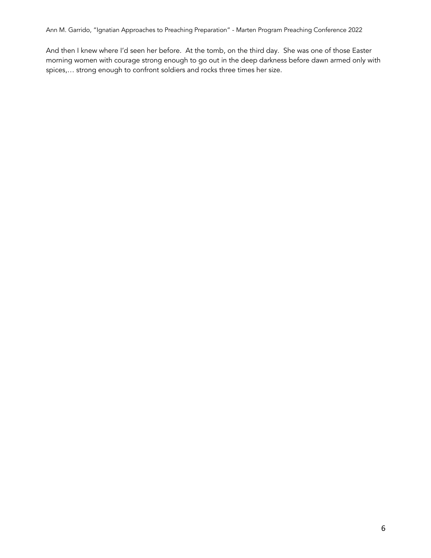And then I knew where I'd seen her before. At the tomb, on the third day. She was one of those Easter morning women with courage strong enough to go out in the deep darkness before dawn armed only with spices,… strong enough to confront soldiers and rocks three times her size.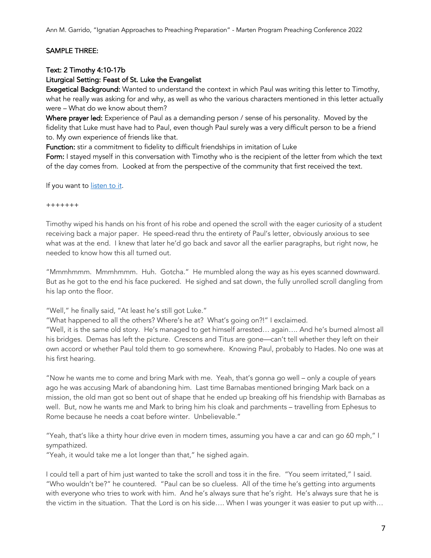## SAMPLE THREE:

#### Text: 2 Timothy 4:10-17b

## Liturgical Setting: Feast of St. Luke the Evangelist

Exegetical Background: Wanted to understand the context in which Paul was writing this letter to Timothy, what he really was asking for and why, as well as who the various characters mentioned in this letter actually were – What do we know about them?

Where prayer led: Experience of Paul as a demanding person / sense of his personality. Moved by the fidelity that Luke must have had to Paul, even though Paul surely was a very difficult person to be a friend to. My own experience of friends like that.

Function: stir a commitment to fidelity to difficult friendships in imitation of Luke

Form: I stayed myself in this conversation with Timothy who is the recipient of the letter from which the text of the day comes from. Looked at from the perspective of the community that first received the text.

If you want to listen to it.

+++++++

Timothy wiped his hands on his front of his robe and opened the scroll with the eager curiosity of a student receiving back a major paper. He speed-read thru the entirety of Paul's letter, obviously anxious to see what was at the end. I knew that later he'd go back and savor all the earlier paragraphs, but right now, he needed to know how this all turned out.

"Mmmhmmm. Mmmhmmm. Huh. Gotcha." He mumbled along the way as his eyes scanned downward. But as he got to the end his face puckered. He sighed and sat down, the fully unrolled scroll dangling from his lap onto the floor.

"Well," he finally said, "At least he's still got Luke."

"What happened to all the others? Where's he at? What's going on?!" I exclaimed.

"Well, it is the same old story. He's managed to get himself arrested… again…. And he's burned almost all his bridges. Demas has left the picture. Crescens and Titus are gone—can't tell whether they left on their own accord or whether Paul told them to go somewhere. Knowing Paul, probably to Hades. No one was at his first hearing.

"Now he wants me to come and bring Mark with me. Yeah, that's gonna go well – only a couple of years ago he was accusing Mark of abandoning him. Last time Barnabas mentioned bringing Mark back on a mission, the old man got so bent out of shape that he ended up breaking off his friendship with Barnabas as well. But, now he wants me and Mark to bring him his cloak and parchments – travelling from Ephesus to Rome because he needs a coat before winter. Unbelievable."

"Yeah, that's like a thirty hour drive even in modern times, assuming you have a car and can go 60 mph," I sympathized.

"Yeah, it would take me a lot longer than that," he sighed again.

I could tell a part of him just wanted to take the scroll and toss it in the fire. "You seem irritated," I said. "Who wouldn't be?" he countered. "Paul can be so clueless. All of the time he's getting into arguments with everyone who tries to work with him. And he's always sure that he's right. He's always sure that he is the victim in the situation. That the Lord is on his side…. When I was younger it was easier to put up with…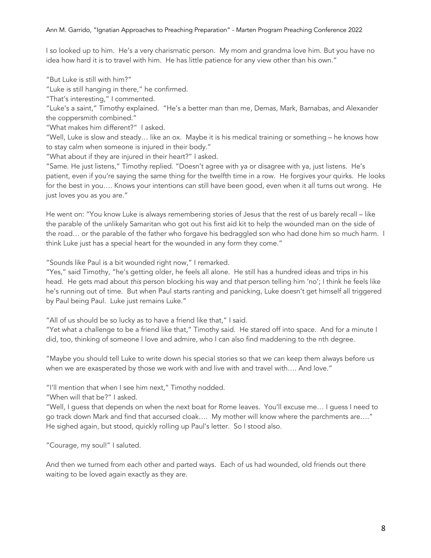I so looked up to him. He's a very charismatic person. My mom and grandma love him. But you have no idea how hard it is to travel with him. He has little patience for any view other than his own."

"But Luke is still with him?"

"Luke is still hanging in there," he confirmed.

"That's interesting," I commented.

"Luke's a saint," Timothy explained. "He's a better man than me, Demas, Mark, Barnabas, and Alexander the coppersmith combined."

"What makes him different?" I asked.

"Well, Luke is slow and steady… like an ox. Maybe it is his medical training or something – he knows how to stay calm when someone is injured in their body."

"What about if they are injured in their heart?" I asked.

"Same. He just listens," Timothy replied. "Doesn't agree with ya or disagree with ya, just listens. He's patient, even if you're saying the same thing for the twelfth time in a row. He forgives your quirks. He looks for the best in you…. Knows your intentions can still have been good, even when it all turns out wrong. He just loves you as you are."

He went on: "You know Luke is always remembering stories of Jesus that the rest of us barely recall – like the parable of the unlikely Samaritan who got out his first aid kit to help the wounded man on the side of the road… or the parable of the father who forgave his bedraggled son who had done him so much harm. I think Luke just has a special heart for the wounded in any form they come."

"Sounds like Paul is a bit wounded right now," I remarked.

"Yes," said Timothy, "he's getting older, he feels all alone. He still has a hundred ideas and trips in his head. He gets mad about *this* person blocking his way and *that* person telling him 'no'; I think he feels like he's running out of time. But when Paul starts ranting and panicking, Luke doesn't get himself all triggered by Paul being Paul. Luke just remains Luke."

"All of us should be so lucky as to have a friend like that," I said.

"Yet what a challenge to be a friend like that," Timothy said. He stared off into space. And for a minute I did, too, thinking of someone I love and admire, who I can also find maddening to the nth degree.

"Maybe you should tell Luke to write down his special stories so that we can keep them always before us when we are exasperated by those we work with and live with and travel with…. And love."

"I'll mention that when I see him next," Timothy nodded.

"When will that be?" I asked.

"Well, I guess that depends on when the next boat for Rome leaves. You'll excuse me… I guess I need to go track down Mark and find that accursed cloak…. My mother will know where the parchments are…." He sighed again, but stood, quickly rolling up Paul's letter. So I stood also.

"Courage, my soul!" I saluted.

And then we turned from each other and parted ways. Each of us had wounded, old friends out there waiting to be loved again exactly as they are.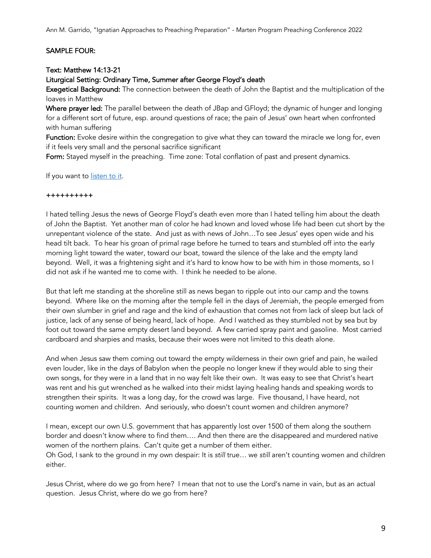Ann M. Garrido, "Ignatian Approaches to Preaching Preparation" - Marten Program Preaching Conference 2022

## SAMPLE FOUR:

#### Text: Matthew 14:13-21

#### Liturgical Setting: Ordinary Time, Summer after George Floyd's death

Exegetical Background: The connection between the death of John the Baptist and the multiplication of the loaves in Matthew

Where prayer led: The parallel between the death of JBap and GFloyd; the dynamic of hunger and longing for a different sort of future, esp. around questions of race; the pain of Jesus' own heart when confronted with human suffering

Function: Evoke desire within the congregation to give what they can toward the miracle we long for, even if it feels very small and the personal sacrifice significant

Form: Stayed myself in the preaching. Time zone: Total conflation of past and present dynamics.

If you want to listen to it.

#### ++++++++++

I hated telling Jesus the news of George Floyd's death even more than I hated telling him about the death of John the Baptist. Yet another man of color he had known and loved whose life had been cut short by the unrepentant violence of the state. And just as with news of John…To see Jesus' eyes open wide and his head tilt back. To hear his groan of primal rage before he turned to tears and stumbled off into the early morning light toward the water, toward our boat, toward the silence of the lake and the empty land beyond. Well, it was a frightening sight and it's hard to know how to be with him in those moments, so I did not ask if he wanted me to come with. I think he needed to be alone.

But that left me standing at the shoreline still as news began to ripple out into our camp and the towns beyond. Where like on the morning after the temple fell in the days of Jeremiah, the people emerged from their own slumber in grief and rage and the kind of exhaustion that comes not from lack of sleep but lack of justice, lack of any sense of being heard, lack of hope. And I watched as they stumbled not by sea but by foot out toward the same empty desert land beyond. A few carried spray paint and gasoline. Most carried cardboard and sharpies and masks, because their woes were not limited to this death alone.

And when Jesus saw them coming out toward the empty wilderness in their own grief and pain, he wailed even louder, like in the days of Babylon when the people no longer knew if they would able to sing their own songs, for they were in a land that in no way felt like their own. It was easy to see that Christ's heart was rent and his gut wrenched as he walked into their midst laying healing hands and speaking words to strengthen their spirits. It was a long day, for the crowd was large. Five thousand, I have heard, not counting women and children. And seriously, who doesn't count women and children anymore?

I mean, except our own U.S. government that has apparently lost over 1500 of them along the southern border and doesn't know where to find them…. And then there are the disappeared and murdered native women of the northern plains. Can't quite get a number of them either. Oh God, I sank to the ground in my own despair: It is *still* true… we *still* aren't counting women and children either.

Jesus Christ, where do we go from here? I mean that not to use the Lord's name in vain, but as an actual question. Jesus Christ, where do we go from here?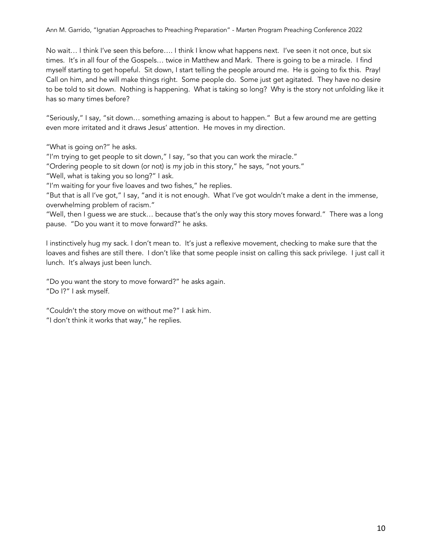No wait… I think I've seen this before…. I think I know what happens next. I've seen it not once, but six times. It's in all four of the Gospels… twice in Matthew and Mark. There is going to be a miracle. I find myself starting to get hopeful. Sit down, I start telling the people around me. He is going to fix this. Pray! Call on him, and he will make things right. Some people do. Some just get agitated. They have no desire to be told to sit down. Nothing is happening. What is taking so long? Why is the story not unfolding like it has so many times before?

"Seriously," I say, "sit down… something amazing is about to happen." But a few around me are getting even more irritated and it draws Jesus' attention. He moves in my direction.

"What is going on?" he asks.

"I'm trying to get people to sit down," I say, "so that you can work the miracle."

"Ordering people to sit down (or not) is *my* job in this story," he says, "not yours."

"Well, what is taking you so long?" I ask.

"I'm waiting for your five loaves and two fishes," he replies.

"But that is all I've got," I say, "and it is not enough. What I've got wouldn't make a dent in the immense, overwhelming problem of racism."

"Well, then I guess we are stuck… because that's the only way this story moves forward." There was a long pause. "Do you want it to move forward?" he asks.

I instinctively hug my sack. I don't mean to. It's just a reflexive movement, checking to make sure that the loaves and fishes are still there. I don't like that some people insist on calling this sack privilege. I just call it lunch. It's always just been lunch.

"Do you want the story to move forward?" he asks again. "Do I?" I ask myself.

"Couldn't the story move on without me?" I ask him. "I don't think it works that way," he replies.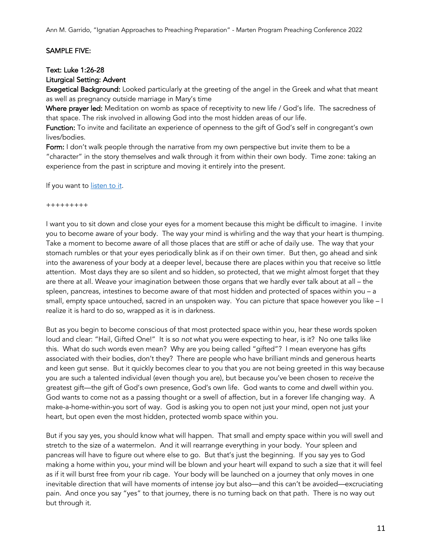#### SAMPLE FIVE:

#### Text: Luke 1:26-28

## Liturgical Setting: Advent

Exegetical Background: Looked particularly at the greeting of the angel in the Greek and what that meant as well as pregnancy outside marriage in Mary's time

Where prayer led: Meditation on womb as space of receptivity to new life / God's life. The sacredness of that space. The risk involved in allowing God into the most hidden areas of our life.

Function: To invite and facilitate an experience of openness to the gift of God's self in congregant's own lives/bodies.

Form: I don't walk people through the narrative from my own perspective but invite them to be a "character" in the story themselves and walk through it from within their own body. Time zone: taking an experience from the past in scripture and moving it entirely into the present.

If you want to listen to it.

+++++++++

I want you to sit down and close your eyes for a moment because this might be difficult to imagine. I invite you to become aware of your body. The way your mind is whirling and the way that your heart is thumping. Take a moment to become aware of all those places that are stiff or ache of daily use. The way that your stomach rumbles or that your eyes periodically blink as if on their own timer. But then, go ahead and sink into the awareness of your body at a deeper level, because there are places within you that receive so little attention. Most days they are so silent and so hidden, so protected, that we might almost forget that they are there at all. Weave your imagination between those organs that we hardly ever talk about at all – the spleen, pancreas, intestines to become aware of that most hidden and protected of spaces within you – a small, empty space untouched, sacred in an unspoken way. You can picture that space however you like – I realize it is hard to do so, wrapped as it is in darkness.

But as you begin to become conscious of that most protected space within you, hear these words spoken loud and clear: "Hail, Gifted One!" It is so *not* what you were expecting to hear, is it? No one talks like this. What do such words even mean? Why are you being called "gifted"? I mean everyone has gifts associated with their bodies, don't they? There are people who have brilliant minds and generous hearts and keen gut sense. But it quickly becomes clear to you that you are not being greeted in this way because you are such a talented individual (even though you are), but because you've been chosen to *receive* the greatest gift—the gift of God's own presence, God's own life. God wants to come and dwell within you. God wants to come not as a passing thought or a swell of affection, but in a forever life changing way. A make-a-home-within-you sort of way. God is asking you to open not just your mind, open not just your heart, but open even the most hidden, protected womb space within you.

But if you say yes, you should know what will happen. That small and empty space within you will swell and stretch to the size of a watermelon. And it will rearrange everything in your body. Your spleen and pancreas will have to figure out where else to go. But that's just the beginning. If you say yes to God making a home within you, your mind will be blown and your heart will expand to such a size that it will feel as if it will burst free from your rib cage. Your body will be launched on a journey that only moves in one inevitable direction that will have moments of intense joy but also—and this can't be avoided—excruciating pain. And once you say "yes" to that journey, there is no turning back on that path. There is no way out but through it.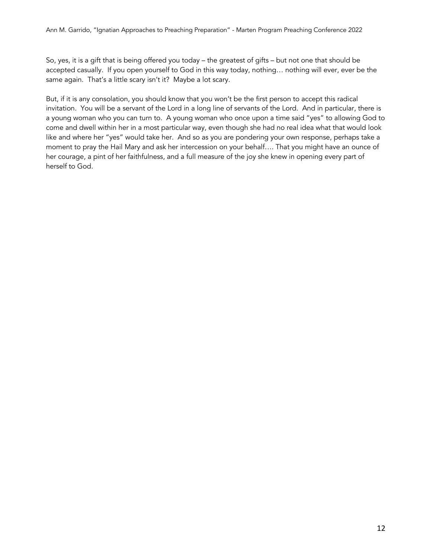So, yes, it is a gift that is being offered you today – the greatest of gifts – but not one that should be accepted casually. If you open yourself to God in this way today, nothing… nothing will ever, ever be the same again. That's a little scary isn't it? Maybe a lot scary.

But, if it is any consolation, you should know that you won't be the first person to accept this radical invitation. You will be a servant of the Lord in a long line of servants of the Lord. And in particular, there is a young woman who you can turn to. A young woman who once upon a time said "yes" to allowing God to come and dwell within her in a most particular way, even though she had no real idea what that would look like and where her "yes" would take her. And so as you are pondering your own response, perhaps take a moment to pray the Hail Mary and ask her intercession on your behalf…. That you might have an ounce of her courage, a pint of her faithfulness, and a full measure of the joy she knew in opening every part of herself to God.